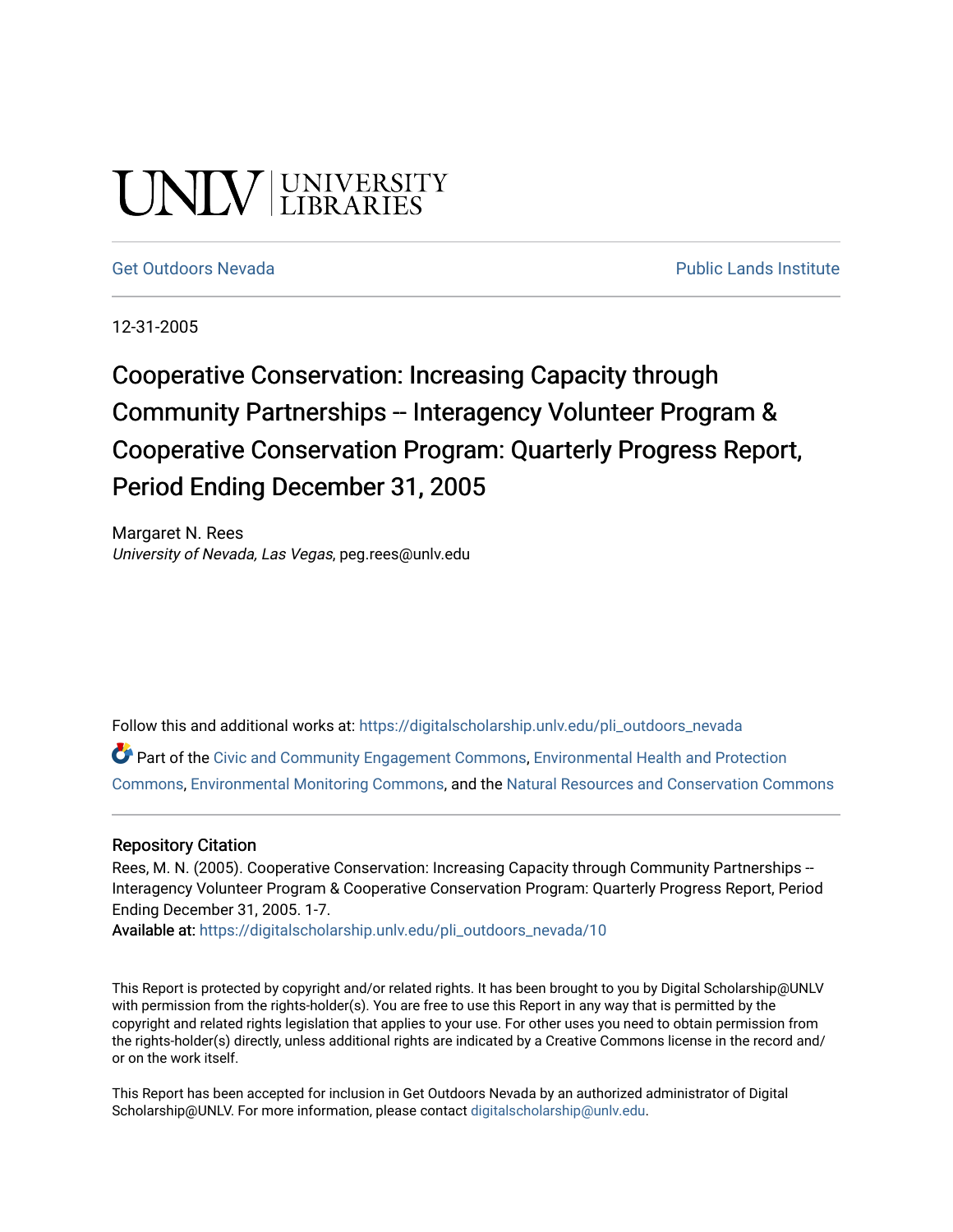# UNLV LIBRARIES

[Get Outdoors Nevada](https://digitalscholarship.unlv.edu/pli_outdoors_nevada) **Public Lands Institute** Public Lands Institute

12-31-2005

## Cooperative Conservation: Increasing Capacity through Community Partnerships -- Interagency Volunteer Program & Cooperative Conservation Program: Quarterly Progress Report, Period Ending December 31, 2005

Margaret N. Rees University of Nevada, Las Vegas, peg.rees@unlv.edu

Follow this and additional works at: [https://digitalscholarship.unlv.edu/pli\\_outdoors\\_nevada](https://digitalscholarship.unlv.edu/pli_outdoors_nevada?utm_source=digitalscholarship.unlv.edu%2Fpli_outdoors_nevada%2F10&utm_medium=PDF&utm_campaign=PDFCoverPages)

Part of the [Civic and Community Engagement Commons](http://network.bepress.com/hgg/discipline/1028?utm_source=digitalscholarship.unlv.edu%2Fpli_outdoors_nevada%2F10&utm_medium=PDF&utm_campaign=PDFCoverPages), [Environmental Health and Protection](http://network.bepress.com/hgg/discipline/172?utm_source=digitalscholarship.unlv.edu%2Fpli_outdoors_nevada%2F10&utm_medium=PDF&utm_campaign=PDFCoverPages)  [Commons](http://network.bepress.com/hgg/discipline/172?utm_source=digitalscholarship.unlv.edu%2Fpli_outdoors_nevada%2F10&utm_medium=PDF&utm_campaign=PDFCoverPages), [Environmental Monitoring Commons,](http://network.bepress.com/hgg/discipline/931?utm_source=digitalscholarship.unlv.edu%2Fpli_outdoors_nevada%2F10&utm_medium=PDF&utm_campaign=PDFCoverPages) and the [Natural Resources and Conservation Commons](http://network.bepress.com/hgg/discipline/168?utm_source=digitalscholarship.unlv.edu%2Fpli_outdoors_nevada%2F10&utm_medium=PDF&utm_campaign=PDFCoverPages)

#### Repository Citation

Rees, M. N. (2005). Cooperative Conservation: Increasing Capacity through Community Partnerships --Interagency Volunteer Program & Cooperative Conservation Program: Quarterly Progress Report, Period Ending December 31, 2005. 1-7.

Available at: [https://digitalscholarship.unlv.edu/pli\\_outdoors\\_nevada/10](https://digitalscholarship.unlv.edu/pli_outdoors_nevada/10) 

This Report is protected by copyright and/or related rights. It has been brought to you by Digital Scholarship@UNLV with permission from the rights-holder(s). You are free to use this Report in any way that is permitted by the copyright and related rights legislation that applies to your use. For other uses you need to obtain permission from the rights-holder(s) directly, unless additional rights are indicated by a Creative Commons license in the record and/ or on the work itself.

This Report has been accepted for inclusion in Get Outdoors Nevada by an authorized administrator of Digital Scholarship@UNLV. For more information, please contact [digitalscholarship@unlv.edu.](mailto:digitalscholarship@unlv.edu)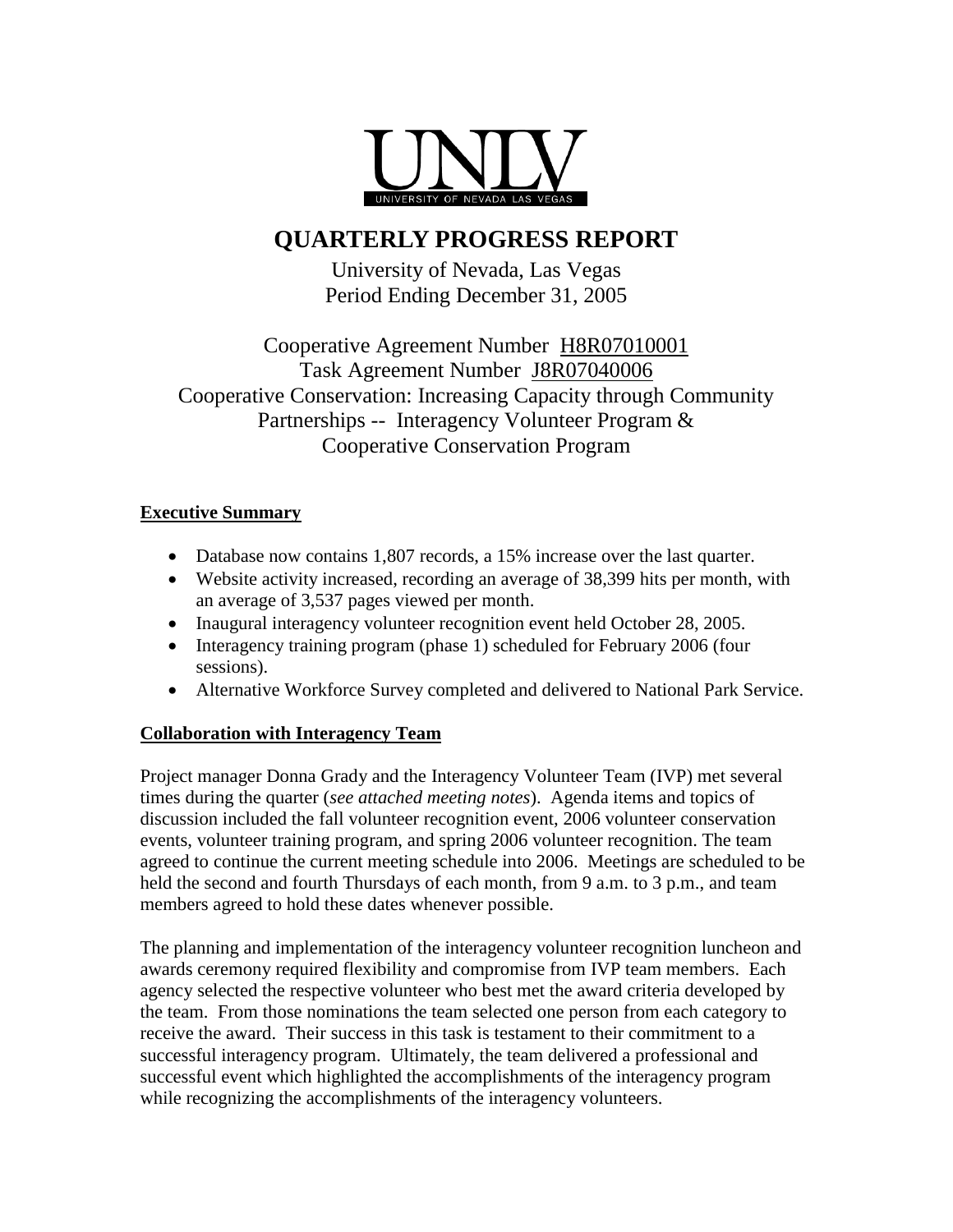

### **QUARTERLY PROGRESS REPORT**

University of Nevada, Las Vegas Period Ending December 31, 2005

Cooperative Agreement Number H8R07010001 Task Agreement Number J8R07040006 Cooperative Conservation: Increasing Capacity through Community Partnerships -- Interagency Volunteer Program & Cooperative Conservation Program

#### **Executive Summary**

- Database now contains 1,807 records, a 15% increase over the last quarter.
- Website activity increased, recording an average of 38,399 hits per month, with an average of 3,537 pages viewed per month.
- Inaugural interagency volunteer recognition event held October 28, 2005.
- Interagency training program (phase 1) scheduled for February 2006 (four sessions).
- Alternative Workforce Survey completed and delivered to National Park Service.

#### **Collaboration with Interagency Team**

Project manager Donna Grady and the Interagency Volunteer Team (IVP) met several times during the quarter (*see attached meeting notes*). Agenda items and topics of discussion included the fall volunteer recognition event, 2006 volunteer conservation events, volunteer training program, and spring 2006 volunteer recognition. The team agreed to continue the current meeting schedule into 2006. Meetings are scheduled to be held the second and fourth Thursdays of each month, from 9 a.m. to 3 p.m., and team members agreed to hold these dates whenever possible.

The planning and implementation of the interagency volunteer recognition luncheon and awards ceremony required flexibility and compromise from IVP team members. Each agency selected the respective volunteer who best met the award criteria developed by the team. From those nominations the team selected one person from each category to receive the award. Their success in this task is testament to their commitment to a successful interagency program. Ultimately, the team delivered a professional and successful event which highlighted the accomplishments of the interagency program while recognizing the accomplishments of the interagency volunteers.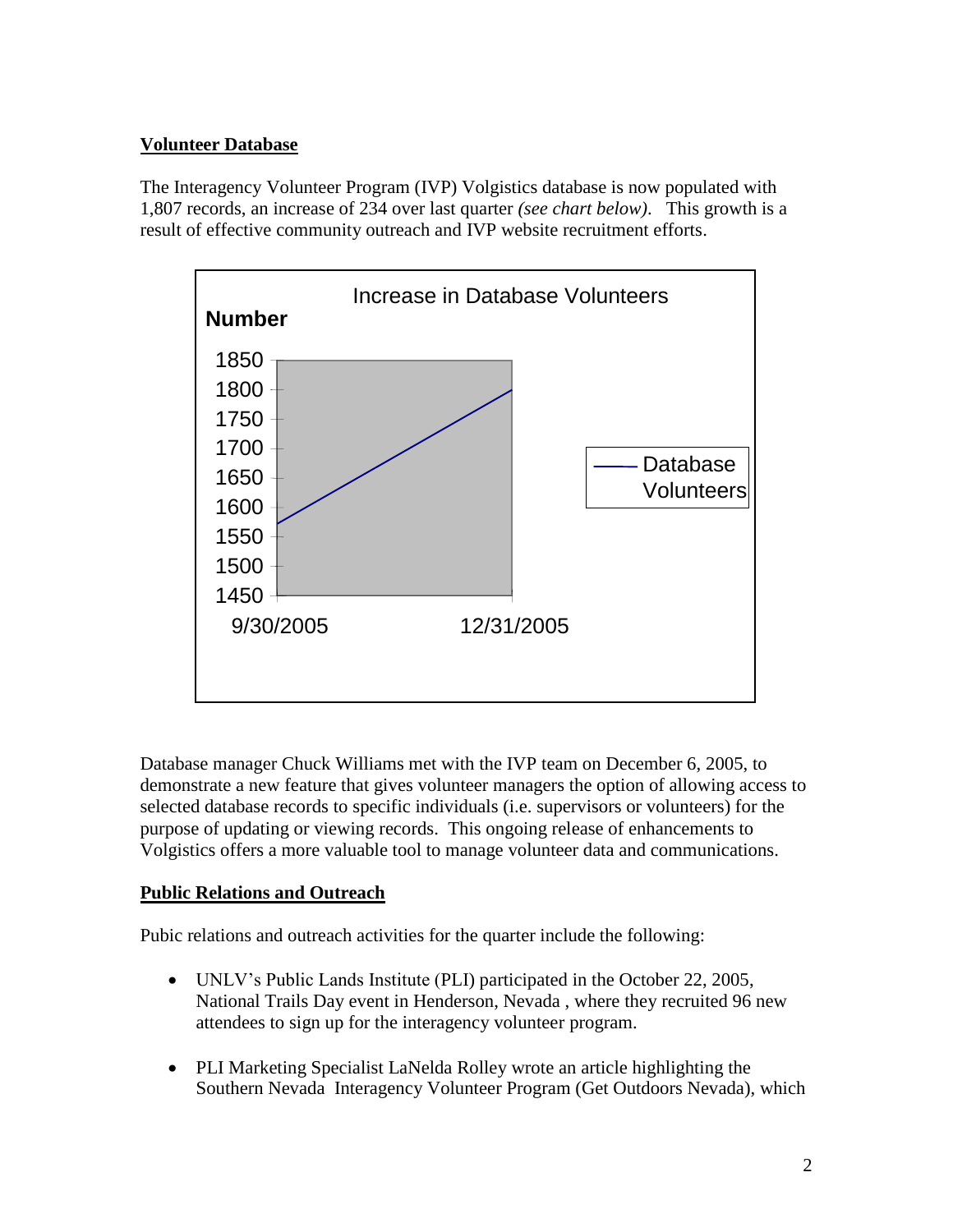#### **Volunteer Database**

The Interagency Volunteer Program (IVP) Volgistics database is now populated with 1,807 records, an increase of 234 over last quarter *(see chart below)*. This growth is a result of effective community outreach and IVP website recruitment efforts.



Database manager Chuck Williams met with the IVP team on December 6, 2005, to demonstrate a new feature that gives volunteer managers the option of allowing access to selected database records to specific individuals (i.e. supervisors or volunteers) for the purpose of updating or viewing records. This ongoing release of enhancements to Volgistics offers a more valuable tool to manage volunteer data and communications.

#### **Public Relations and Outreach**

Pubic relations and outreach activities for the quarter include the following:

- UNLV's Public Lands Institute (PLI) participated in the October 22, 2005, National Trails Day event in Henderson, Nevada , where they recruited 96 new attendees to sign up for the interagency volunteer program.
- PLI Marketing Specialist LaNelda Rolley wrote an article highlighting the Southern Nevada Interagency Volunteer Program (Get Outdoors Nevada), which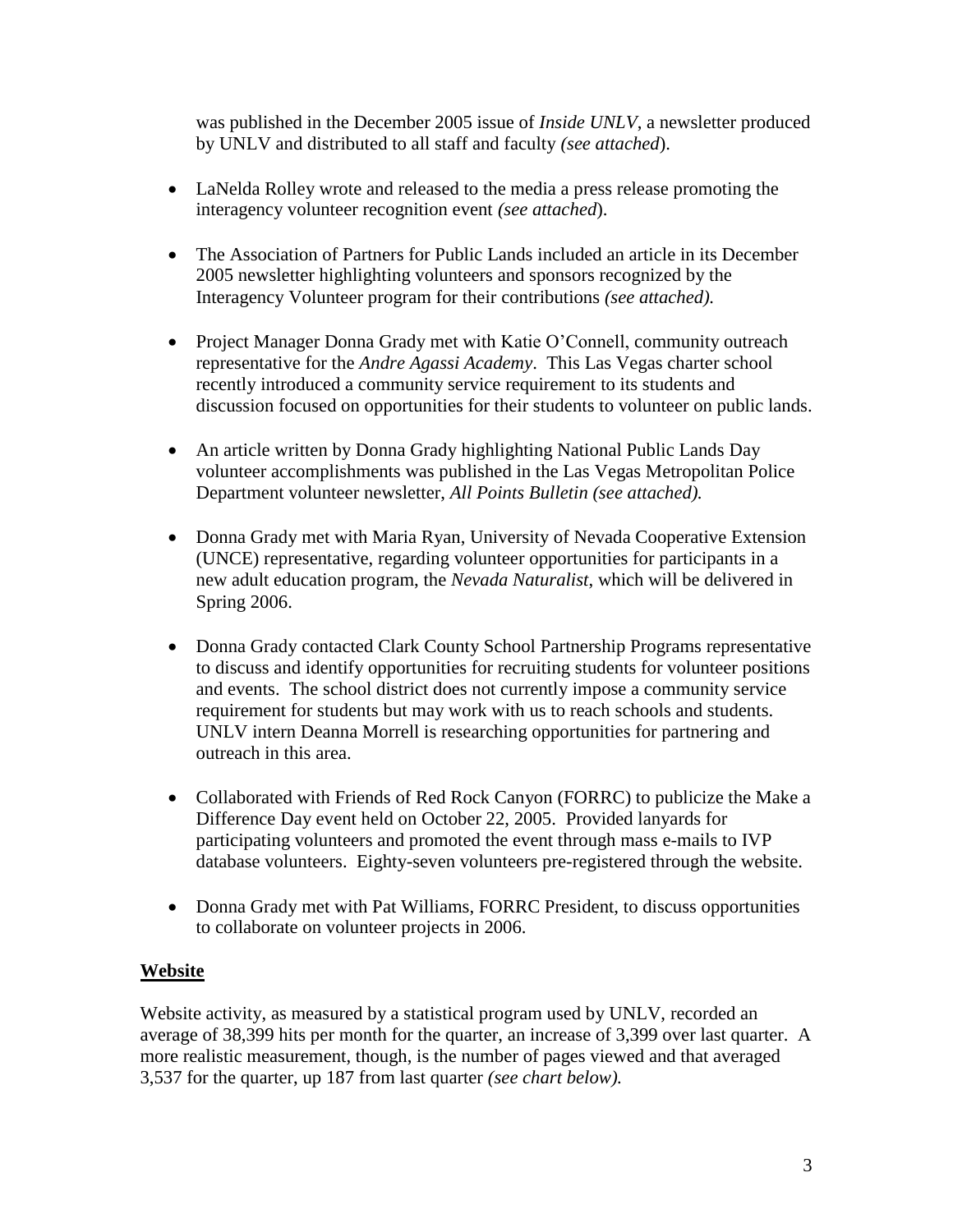was published in the December 2005 issue of *Inside UNLV*, a newsletter produced by UNLV and distributed to all staff and faculty *(see attached*).

- LaNelda Rolley wrote and released to the media a press release promoting the interagency volunteer recognition event *(see attached*).
- The Association of Partners for Public Lands included an article in its December 2005 newsletter highlighting volunteers and sponsors recognized by the Interagency Volunteer program for their contributions *(see attached).*
- Project Manager Donna Grady met with Katie O'Connell, community outreach representative for the *Andre Agassi Academy*. This Las Vegas charter school recently introduced a community service requirement to its students and discussion focused on opportunities for their students to volunteer on public lands.
- An article written by Donna Grady highlighting National Public Lands Day volunteer accomplishments was published in the Las Vegas Metropolitan Police Department volunteer newsletter, *All Points Bulletin (see attached).*
- Donna Grady met with Maria Ryan, University of Nevada Cooperative Extension (UNCE) representative, regarding volunteer opportunities for participants in a new adult education program, the *Nevada Naturalist*, which will be delivered in Spring 2006.
- Donna Grady contacted Clark County School Partnership Programs representative to discuss and identify opportunities for recruiting students for volunteer positions and events. The school district does not currently impose a community service requirement for students but may work with us to reach schools and students. UNLV intern Deanna Morrell is researching opportunities for partnering and outreach in this area.
- Collaborated with Friends of Red Rock Canyon (FORRC) to publicize the Make a Difference Day event held on October 22, 2005. Provided lanyards for participating volunteers and promoted the event through mass e-mails to IVP database volunteers. Eighty-seven volunteers pre-registered through the website.
- Donna Grady met with Pat Williams, FORRC President, to discuss opportunities to collaborate on volunteer projects in 2006.

#### **Website**

Website activity, as measured by a statistical program used by UNLV, recorded an average of 38,399 hits per month for the quarter, an increase of 3,399 over last quarter. A more realistic measurement, though, is the number of pages viewed and that averaged 3,537 for the quarter, up 187 from last quarter *(see chart below).*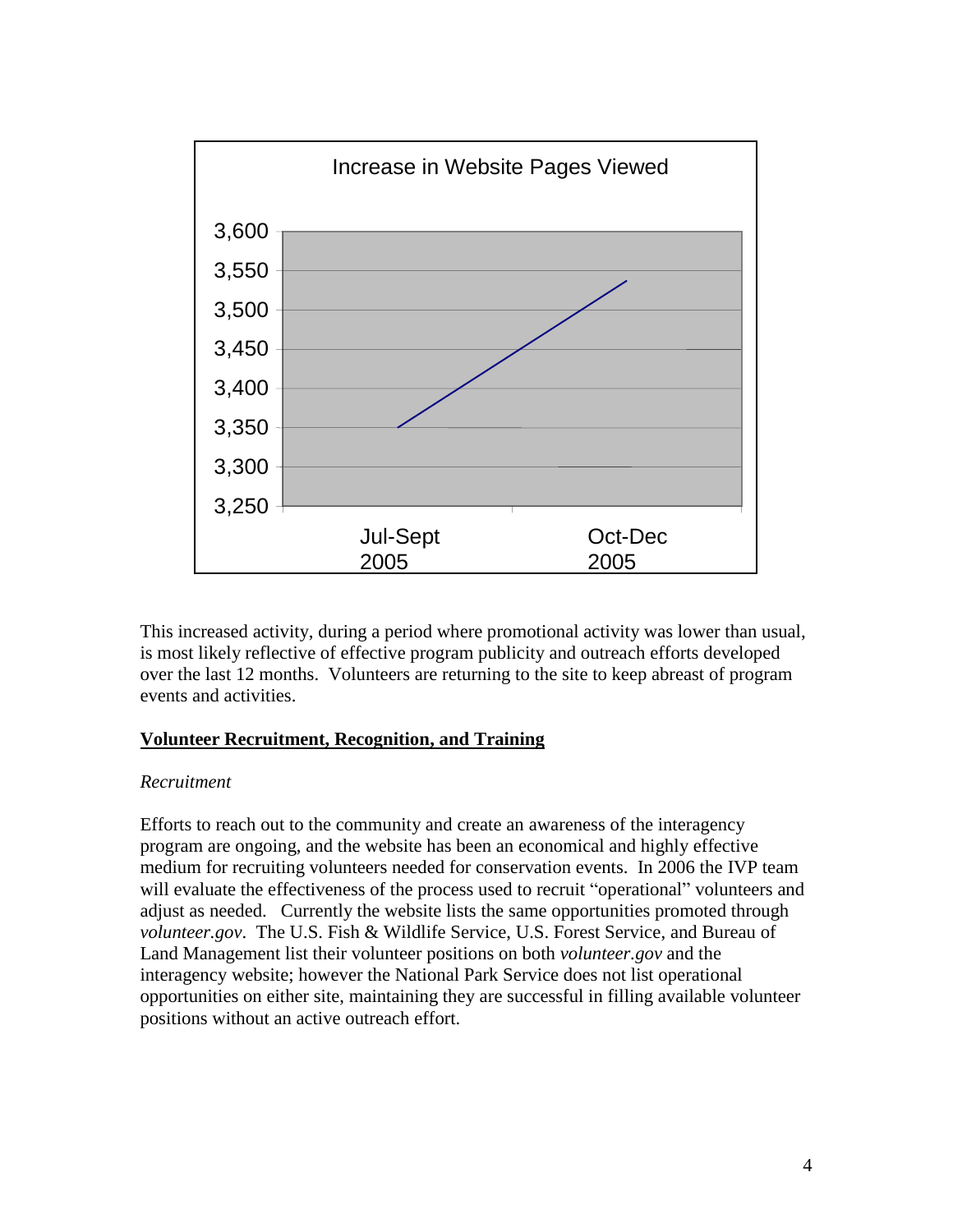

This increased activity, during a period where promotional activity was lower than usual, is most likely reflective of effective program publicity and outreach efforts developed over the last 12 months. Volunteers are returning to the site to keep abreast of program events and activities.

#### **Volunteer Recruitment, Recognition, and Training**

#### *Recruitment*

Efforts to reach out to the community and create an awareness of the interagency program are ongoing, and the website has been an economical and highly effective medium for recruiting volunteers needed for conservation events. In 2006 the IVP team will evaluate the effectiveness of the process used to recruit "operational" volunteers and adjust as needed. Currently the website lists the same opportunities promoted through *volunteer.gov*. The U.S. Fish & Wildlife Service, U.S. Forest Service, and Bureau of Land Management list their volunteer positions on both *volunteer.gov* and the interagency website; however the National Park Service does not list operational opportunities on either site, maintaining they are successful in filling available volunteer positions without an active outreach effort.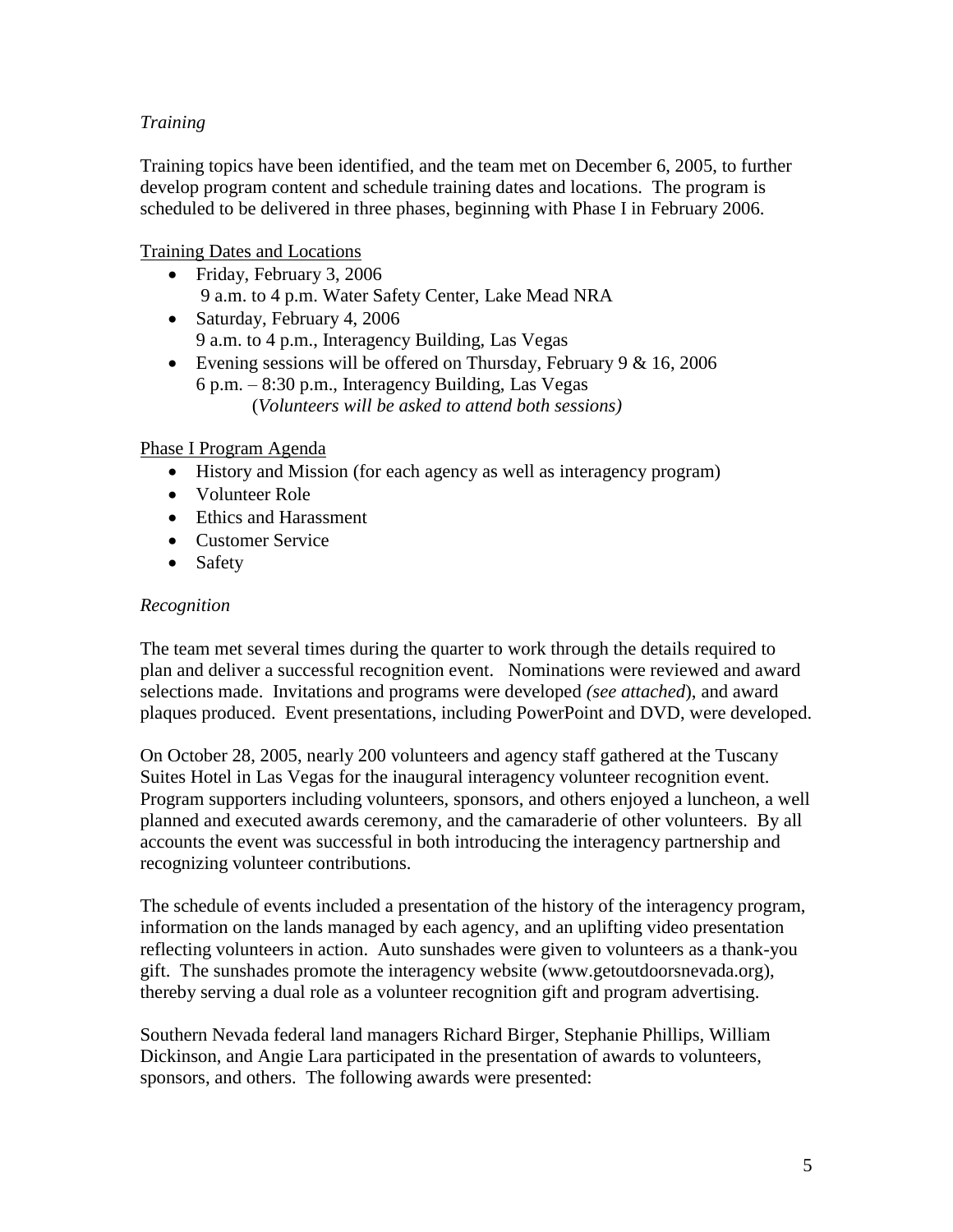#### *Training*

Training topics have been identified, and the team met on December 6, 2005, to further develop program content and schedule training dates and locations. The program is scheduled to be delivered in three phases, beginning with Phase I in February 2006.

Training Dates and Locations

- Friday, February 3, 2006 9 a.m. to 4 p.m. Water Safety Center, Lake Mead NRA
- Saturday, February 4, 2006 9 a.m. to 4 p.m., Interagency Building, Las Vegas
- Evening sessions will be offered on Thursday, February  $9 & 16, 2006$ 6 p.m. – 8:30 p.m., Interagency Building, Las Vegas (*Volunteers will be asked to attend both sessions)*

#### Phase I Program Agenda

- History and Mission (for each agency as well as interagency program)
- Volunteer Role
- Ethics and Harassment
- Customer Service
- Safety

#### *Recognition*

The team met several times during the quarter to work through the details required to plan and deliver a successful recognition event. Nominations were reviewed and award selections made. Invitations and programs were developed *(see attached*), and award plaques produced. Event presentations, including PowerPoint and DVD, were developed.

On October 28, 2005, nearly 200 volunteers and agency staff gathered at the Tuscany Suites Hotel in Las Vegas for the inaugural interagency volunteer recognition event. Program supporters including volunteers, sponsors, and others enjoyed a luncheon, a well planned and executed awards ceremony, and the camaraderie of other volunteers. By all accounts the event was successful in both introducing the interagency partnership and recognizing volunteer contributions.

The schedule of events included a presentation of the history of the interagency program, information on the lands managed by each agency, and an uplifting video presentation reflecting volunteers in action. Auto sunshades were given to volunteers as a thank-you gift. The sunshades promote the interagency website (www.getoutdoorsnevada.org), thereby serving a dual role as a volunteer recognition gift and program advertising.

Southern Nevada federal land managers Richard Birger, Stephanie Phillips, William Dickinson, and Angie Lara participated in the presentation of awards to volunteers, sponsors, and others. The following awards were presented: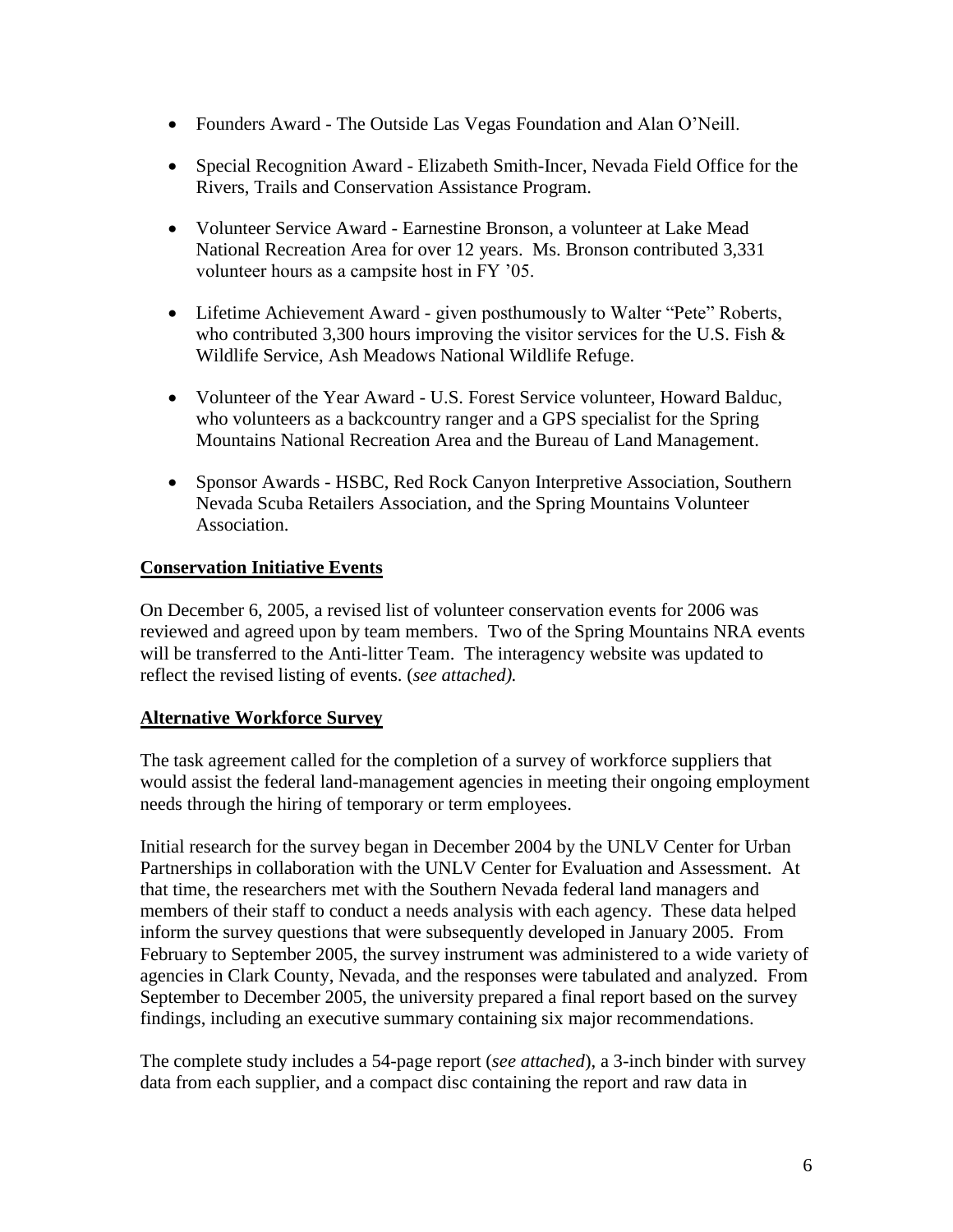- Founders Award The Outside Las Vegas Foundation and Alan O'Neill.
- Special Recognition Award Elizabeth Smith-Incer, Nevada Field Office for the Rivers, Trails and Conservation Assistance Program.
- Volunteer Service Award Earnestine Bronson, a volunteer at Lake Mead National Recreation Area for over 12 years. Ms. Bronson contributed 3,331 volunteer hours as a campsite host in FY '05.
- Lifetime Achievement Award given posthumously to Walter "Pete" Roberts, who contributed 3,300 hours improving the visitor services for the U.S. Fish  $\&$ Wildlife Service, Ash Meadows National Wildlife Refuge.
- Volunteer of the Year Award U.S. Forest Service volunteer, Howard Balduc, who volunteers as a backcountry ranger and a GPS specialist for the Spring Mountains National Recreation Area and the Bureau of Land Management.
- Sponsor Awards HSBC, Red Rock Canyon Interpretive Association, Southern Nevada Scuba Retailers Association, and the Spring Mountains Volunteer Association.

#### **Conservation Initiative Events**

On December 6, 2005, a revised list of volunteer conservation events for 2006 was reviewed and agreed upon by team members. Two of the Spring Mountains NRA events will be transferred to the Anti-litter Team. The interagency website was updated to reflect the revised listing of events. (*see attached).*

#### **Alternative Workforce Survey**

The task agreement called for the completion of a survey of workforce suppliers that would assist the federal land-management agencies in meeting their ongoing employment needs through the hiring of temporary or term employees.

Initial research for the survey began in December 2004 by the UNLV Center for Urban Partnerships in collaboration with the UNLV Center for Evaluation and Assessment. At that time, the researchers met with the Southern Nevada federal land managers and members of their staff to conduct a needs analysis with each agency. These data helped inform the survey questions that were subsequently developed in January 2005. From February to September 2005, the survey instrument was administered to a wide variety of agencies in Clark County, Nevada, and the responses were tabulated and analyzed. From September to December 2005, the university prepared a final report based on the survey findings, including an executive summary containing six major recommendations.

The complete study includes a 54-page report (*see attached*), a 3-inch binder with survey data from each supplier, and a compact disc containing the report and raw data in